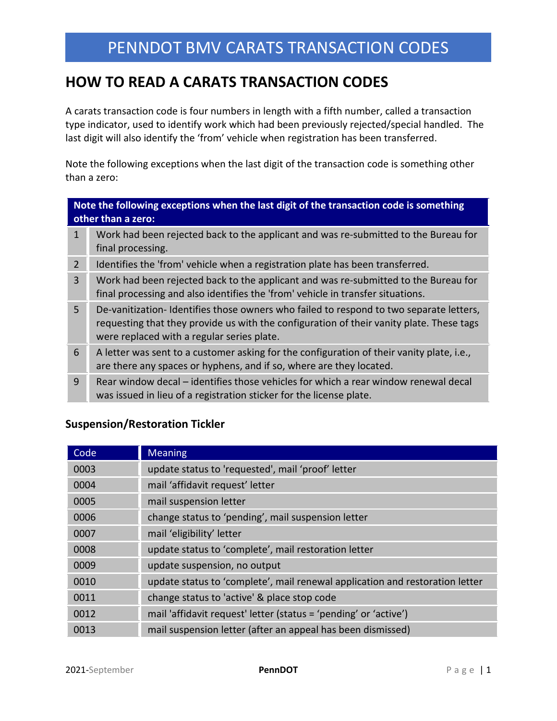# **HOW TO READ A CARATS TRANSACTION CODES**

A carats transaction code is four numbers in length with a fifth number, called a transaction type indicator, used to identify work which had been previously rejected/special handled. The last digit will also identify the 'from' vehicle when registration has been transferred.

Note the following exceptions when the last digit of the transaction code is something other than a zero:

#### **Note the following exceptions when the last digit of the transaction code is something other than a zero:**

- 1 Work had been rejected back to the applicant and was re-submitted to the Bureau for final processing.
- 2 Identifies the 'from' vehicle when a registration plate has been transferred.
- 3 Work had been rejected back to the applicant and was re-submitted to the Bureau for final processing and also identifies the 'from' vehicle in transfer situations.
- 5 De-vanitization- Identifies those owners who failed to respond to two separate letters, requesting that they provide us with the configuration of their vanity plate. These tags were replaced with a regular series plate.
- 6 A letter was sent to a customer asking for the configuration of their vanity plate, i.e., are there any spaces or hyphens, and if so, where are they located.
- 9 Rear window decal identifies those vehicles for which a rear window renewal decal was issued in lieu of a registration sticker for the license plate.

### **Suspension/Restoration Tickler**

| Code | <b>Meaning</b>                                                               |
|------|------------------------------------------------------------------------------|
| 0003 | update status to 'requested', mail 'proof' letter                            |
| 0004 | mail 'affidavit request' letter                                              |
| 0005 | mail suspension letter                                                       |
| 0006 | change status to 'pending', mail suspension letter                           |
| 0007 | mail 'eligibility' letter                                                    |
| 0008 | update status to 'complete', mail restoration letter                         |
| 0009 | update suspension, no output                                                 |
| 0010 | update status to 'complete', mail renewal application and restoration letter |
| 0011 | change status to 'active' & place stop code                                  |
| 0012 | mail 'affidavit request' letter (status = 'pending' or 'active')             |
| 0013 | mail suspension letter (after an appeal has been dismissed)                  |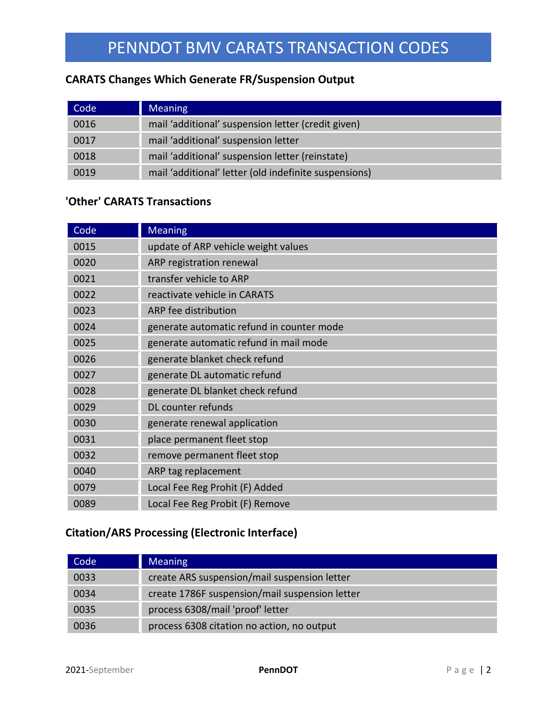## **CARATS Changes Which Generate FR/Suspension Output**

| Code | <b>Meaning</b>                                        |
|------|-------------------------------------------------------|
| 0016 | mail 'additional' suspension letter (credit given)    |
| 0017 | mail 'additional' suspension letter                   |
| 0018 | mail 'additional' suspension letter (reinstate)       |
| 0019 | mail 'additional' letter (old indefinite suspensions) |

## **'Other' CARATS Transactions**

| Code | <b>Meaning</b>                            |
|------|-------------------------------------------|
| 0015 | update of ARP vehicle weight values       |
| 0020 | ARP registration renewal                  |
| 0021 | transfer vehicle to ARP                   |
| 0022 | reactivate vehicle in CARATS              |
| 0023 | ARP fee distribution                      |
| 0024 | generate automatic refund in counter mode |
| 0025 | generate automatic refund in mail mode    |
| 0026 | generate blanket check refund             |
| 0027 | generate DL automatic refund              |
| 0028 | generate DL blanket check refund          |
| 0029 | DL counter refunds                        |
| 0030 | generate renewal application              |
| 0031 | place permanent fleet stop                |
| 0032 | remove permanent fleet stop               |
| 0040 | ARP tag replacement                       |
| 0079 | Local Fee Reg Prohit (F) Added            |
| 0089 | Local Fee Reg Probit (F) Remove           |

## **Citation/ARS Processing (Electronic Interface)**

| Code | <b>Meaning</b>                                 |
|------|------------------------------------------------|
| 0033 | create ARS suspension/mail suspension letter   |
| 0034 | create 1786F suspension/mail suspension letter |
| 0035 | process 6308/mail 'proof' letter               |
| 0036 | process 6308 citation no action, no output     |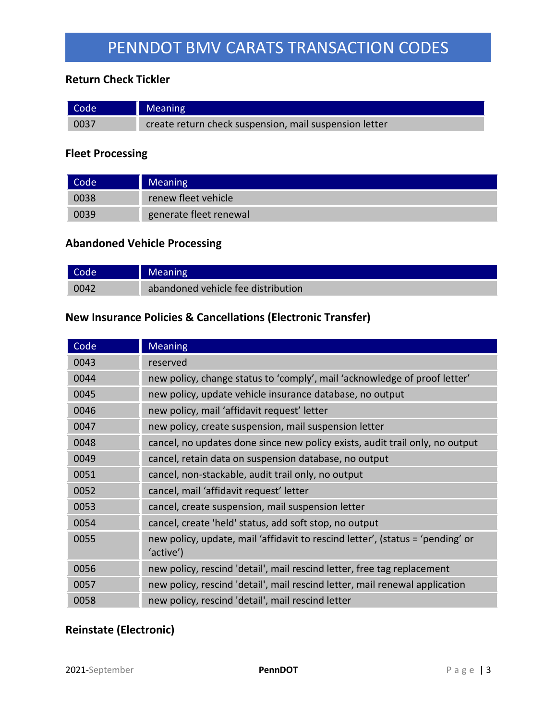## **Return Check Tickler**

| Code | Meaning                                                |
|------|--------------------------------------------------------|
| 0037 | create return check suspension, mail suspension letter |

### **Fleet Processing**

| Code <sup>1</sup> | <b>Meaning</b>         |
|-------------------|------------------------|
| 0038              | renew fleet vehicle    |
| 0039              | generate fleet renewal |

### **Abandoned Vehicle Processing**

| Code | <b>Meaning</b>                     |
|------|------------------------------------|
| 0042 | abandoned vehicle fee distribution |

## **New Insurance Policies & Cancellations (Electronic Transfer)**

| Code | <b>Meaning</b>                                                                              |
|------|---------------------------------------------------------------------------------------------|
| 0043 | reserved                                                                                    |
| 0044 | new policy, change status to 'comply', mail 'acknowledge of proof letter'                   |
| 0045 | new policy, update vehicle insurance database, no output                                    |
| 0046 | new policy, mail 'affidavit request' letter                                                 |
| 0047 | new policy, create suspension, mail suspension letter                                       |
| 0048 | cancel, no updates done since new policy exists, audit trail only, no output                |
| 0049 | cancel, retain data on suspension database, no output                                       |
| 0051 | cancel, non-stackable, audit trail only, no output                                          |
| 0052 | cancel, mail 'affidavit request' letter                                                     |
| 0053 | cancel, create suspension, mail suspension letter                                           |
| 0054 | cancel, create 'held' status, add soft stop, no output                                      |
| 0055 | new policy, update, mail 'affidavit to rescind letter', (status = 'pending' or<br>'active') |
| 0056 | new policy, rescind 'detail', mail rescind letter, free tag replacement                     |
| 0057 | new policy, rescind 'detail', mail rescind letter, mail renewal application                 |
| 0058 | new policy, rescind 'detail', mail rescind letter                                           |

## **Reinstate (Electronic)**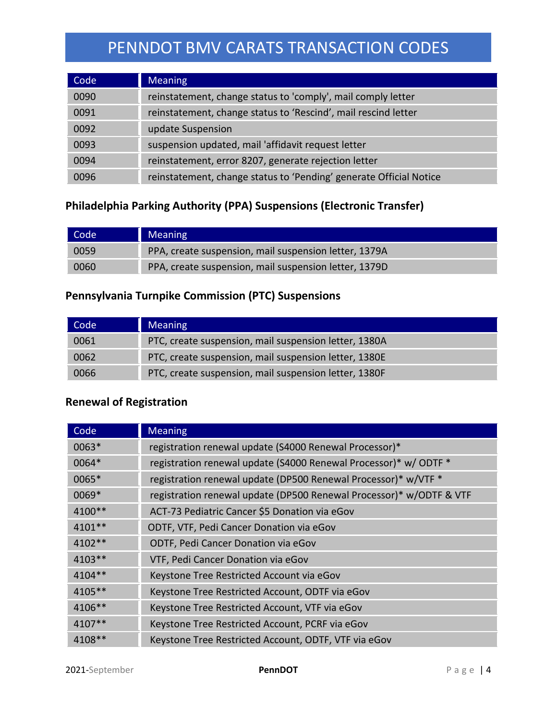| Code | <b>Meaning</b>                                                     |
|------|--------------------------------------------------------------------|
| 0090 | reinstatement, change status to 'comply', mail comply letter       |
| 0091 | reinstatement, change status to 'Rescind', mail rescind letter     |
| 0092 | update Suspension                                                  |
| 0093 | suspension updated, mail 'affidavit request letter                 |
| 0094 | reinstatement, error 8207, generate rejection letter               |
| 0096 | reinstatement, change status to 'Pending' generate Official Notice |

## **Philadelphia Parking Authority (PPA) Suspensions (Electronic Transfer)**

| Code | <b>Meaning</b>                                        |
|------|-------------------------------------------------------|
| 0059 | PPA, create suspension, mail suspension letter, 1379A |
| 0060 | PPA, create suspension, mail suspension letter, 1379D |

## **Pennsylvania Turnpike Commission (PTC) Suspensions**

| Code | <b>Meaning</b>                                        |
|------|-------------------------------------------------------|
| 0061 | PTC, create suspension, mail suspension letter, 1380A |
| 0062 | PTC, create suspension, mail suspension letter, 1380E |
| 0066 | PTC, create suspension, mail suspension letter, 1380F |

## **Renewal of Registration**

| Code     | <b>Meaning</b>                                                      |
|----------|---------------------------------------------------------------------|
| $0063*$  | registration renewal update (S4000 Renewal Processor)*              |
| 0064*    | registration renewal update (S4000 Renewal Processor)* w/ ODTF *    |
| 0065*    | registration renewal update (DP500 Renewal Processor)* w/VTF *      |
| 0069*    | registration renewal update (DP500 Renewal Processor)* w/ODTF & VTF |
| 4100**   | ACT-73 Pediatric Cancer \$5 Donation via eGov                       |
| $4101**$ | ODTF, VTF, Pedi Cancer Donation via eGov                            |
| $4102**$ | ODTF, Pedi Cancer Donation via eGov                                 |
| $4103**$ | VTF, Pedi Cancer Donation via eGov                                  |
| $4104**$ | Keystone Tree Restricted Account via eGov                           |
| 4105**   | Keystone Tree Restricted Account, ODTF via eGov                     |
| 4106**   | Keystone Tree Restricted Account, VTF via eGov                      |
| $4107**$ | Keystone Tree Restricted Account, PCRF via eGov                     |
| 4108**   | Keystone Tree Restricted Account, ODTF, VTF via eGov                |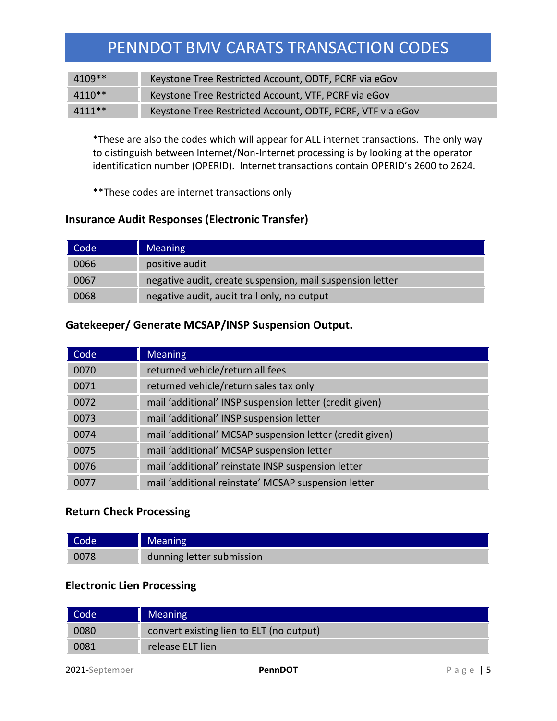| $4109**$ | Keystone Tree Restricted Account, ODTF, PCRF via eGov      |
|----------|------------------------------------------------------------|
| $4110**$ | Keystone Tree Restricted Account, VTF, PCRF via eGov       |
| $4111**$ | Keystone Tree Restricted Account, ODTF, PCRF, VTF via eGov |

\*These are also the codes which will appear for ALL internet transactions. The only way to distinguish between Internet/Non-Internet processing is by looking at the operator identification number (OPERID). Internet transactions contain OPERID's 2600 to 2624.

\*\*These codes are internet transactions only

### **Insurance Audit Responses (Electronic Transfer)**

| Code | <b>Meaning</b>                                            |
|------|-----------------------------------------------------------|
| 0066 | positive audit                                            |
| 0067 | negative audit, create suspension, mail suspension letter |
| 0068 | negative audit, audit trail only, no output               |

### **Gatekeeper/ Generate MCSAP/INSP Suspension Output.**

| Code | <b>Meaning</b>                                           |
|------|----------------------------------------------------------|
| 0070 | returned vehicle/return all fees                         |
| 0071 | returned vehicle/return sales tax only                   |
| 0072 | mail 'additional' INSP suspension letter (credit given)  |
| 0073 | mail 'additional' INSP suspension letter                 |
| 0074 | mail 'additional' MCSAP suspension letter (credit given) |
| 0075 | mail 'additional' MCSAP suspension letter                |
| 0076 | mail 'additional' reinstate INSP suspension letter       |
| 0077 | mail 'additional reinstate' MCSAP suspension letter      |

#### **Return Check Processing**

| Code | <b>Meaning</b>            |
|------|---------------------------|
| 0078 | dunning letter submission |

### **Electronic Lien Processing**

| Code | <b>Meaning</b>                           |
|------|------------------------------------------|
| 0080 | convert existing lien to ELT (no output) |
| 0081 | release ELT lien                         |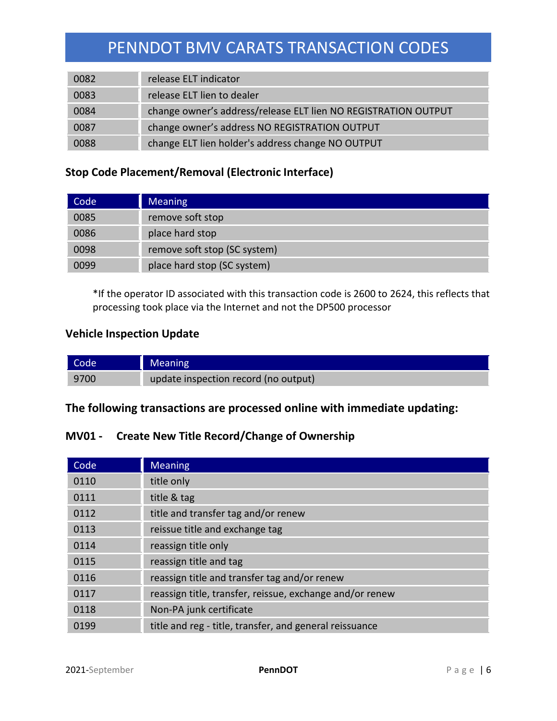| 0082 | release ELT indicator                                          |
|------|----------------------------------------------------------------|
| 0083 | release ELT lien to dealer                                     |
| 0084 | change owner's address/release ELT lien NO REGISTRATION OUTPUT |
| 0087 | change owner's address NO REGISTRATION OUTPUT                  |
| 0088 | change ELT lien holder's address change NO OUTPUT              |

## **Stop Code Placement/Removal (Electronic Interface)**

| Code | <b>Meaning</b>               |
|------|------------------------------|
| 0085 | remove soft stop             |
| 0086 | place hard stop              |
| 0098 | remove soft stop (SC system) |
| 0099 | place hard stop (SC system)  |

\*If the operator ID associated with this transaction code is 2600 to 2624, this reflects that processing took place via the Internet and not the DP500 processor

### **Vehicle Inspection Update**

| Code | Meaning                              |
|------|--------------------------------------|
| 9700 | update inspection record (no output) |

## **The following transactions are processed online with immediate updating:**

## **MV01 - Create New Title Record/Change of Ownership**

| Code | <b>Meaning</b>                                           |
|------|----------------------------------------------------------|
| 0110 | title only                                               |
| 0111 | title & tag                                              |
| 0112 | title and transfer tag and/or renew                      |
| 0113 | reissue title and exchange tag                           |
| 0114 | reassign title only                                      |
| 0115 | reassign title and tag                                   |
| 0116 | reassign title and transfer tag and/or renew             |
| 0117 | reassign title, transfer, reissue, exchange and/or renew |
| 0118 | Non-PA junk certificate                                  |
| 0199 | title and reg - title, transfer, and general reissuance  |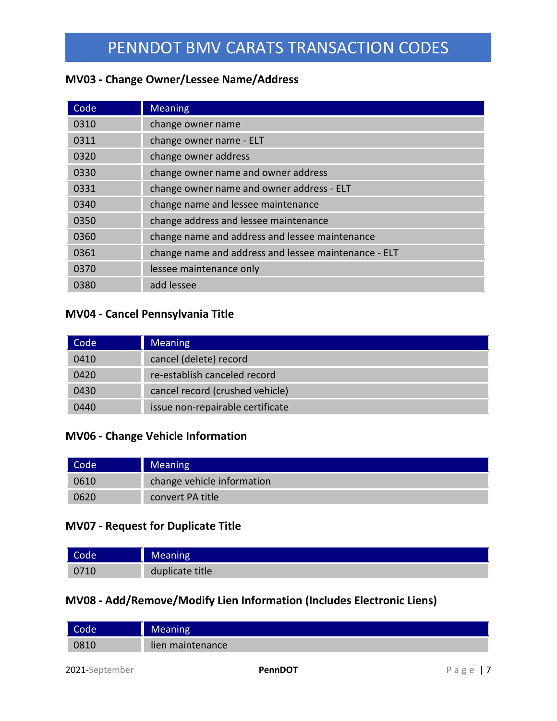### **MV03 - Change Owner/Lessee Name/Address**

| Code | <b>Meaning</b>                                       |
|------|------------------------------------------------------|
| 0310 | change owner name                                    |
| 0311 | change owner name - ELT                              |
| 0320 | change owner address                                 |
| 0330 | change owner name and owner address                  |
| 0331 | change owner name and owner address - ELT            |
| 0340 | change name and lessee maintenance                   |
| 0350 | change address and lessee maintenance                |
| 0360 | change name and address and lessee maintenance       |
| 0361 | change name and address and lessee maintenance - ELT |
| 0370 | lessee maintenance only                              |
| 0380 | add lessee                                           |

## **MV04 - Cancel Pennsylvania Title**

| Code | <b>Meaning</b>                   |
|------|----------------------------------|
| 0410 | cancel (delete) record           |
| 0420 | re-establish canceled record     |
| 0430 | cancel record (crushed vehicle)  |
| 0440 | issue non-repairable certificate |

#### **MV06 - Change Vehicle Information**

| Code | <b>Meaning</b>             |
|------|----------------------------|
| 0610 | change vehicle information |
| 0620 | convert PA title           |

### **MV07 - Request for Duplicate Title**

| Code,         | Meaning         |
|---------------|-----------------|
| 071C<br>U7 TU | duplicate title |

### **MV08 - Add/Remove/Modify Lien Information (Includes Electronic Liens)**

| Code | <b>Meaning</b>   |
|------|------------------|
| 0810 | lien maintenance |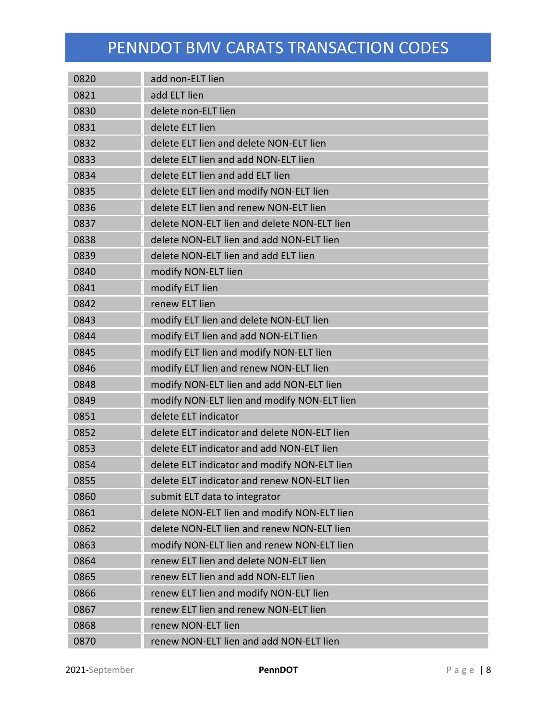| 0820 | add non-ELT lien                             |
|------|----------------------------------------------|
| 0821 | add ELT lien                                 |
| 0830 | delete non-ELT lien                          |
| 0831 | delete ELT lien                              |
| 0832 | delete ELT lien and delete NON-ELT lien      |
| 0833 | delete ELT lien and add NON-ELT lien         |
| 0834 | delete ELT lien and add ELT lien             |
| 0835 | delete ELT lien and modify NON-ELT lien      |
| 0836 | delete ELT lien and renew NON-ELT lien       |
| 0837 | delete NON-ELT lien and delete NON-ELT lien  |
| 0838 | delete NON-ELT lien and add NON-ELT lien     |
| 0839 | delete NON-ELT lien and add ELT lien         |
| 0840 | modify NON-ELT lien                          |
| 0841 | modify ELT lien                              |
| 0842 | renew ELT lien                               |
| 0843 | modify ELT lien and delete NON-ELT lien      |
| 0844 | modify ELT lien and add NON-ELT lien         |
| 0845 | modify ELT lien and modify NON-ELT lien      |
| 0846 | modify ELT lien and renew NON-ELT lien       |
| 0848 | modify NON-ELT lien and add NON-ELT lien     |
| 0849 | modify NON-ELT lien and modify NON-ELT lien  |
| 0851 | delete ELT indicator                         |
| 0852 | delete ELT indicator and delete NON-ELT lien |
| 0853 | delete ELT indicator and add NON-ELT lien    |
| 0854 | delete ELT indicator and modify NON-ELT lien |
| 0855 | delete ELT indicator and renew NON-ELT lien  |
| 0860 | submit ELT data to integrator                |
| 0861 | delete NON-ELT lien and modify NON-ELT lien  |
| 0862 | delete NON-ELT lien and renew NON-ELT lien   |
| 0863 | modify NON-ELT lien and renew NON-ELT lien   |
| 0864 | renew ELT lien and delete NON-ELT lien       |
| 0865 | renew ELT lien and add NON-ELT lien          |
| 0866 | renew ELT lien and modify NON-ELT lien       |
| 0867 | renew ELT lien and renew NON-ELT lien        |
| 0868 | renew NON-ELT lien                           |
| 0870 | renew NON-ELT lien and add NON-ELT lien      |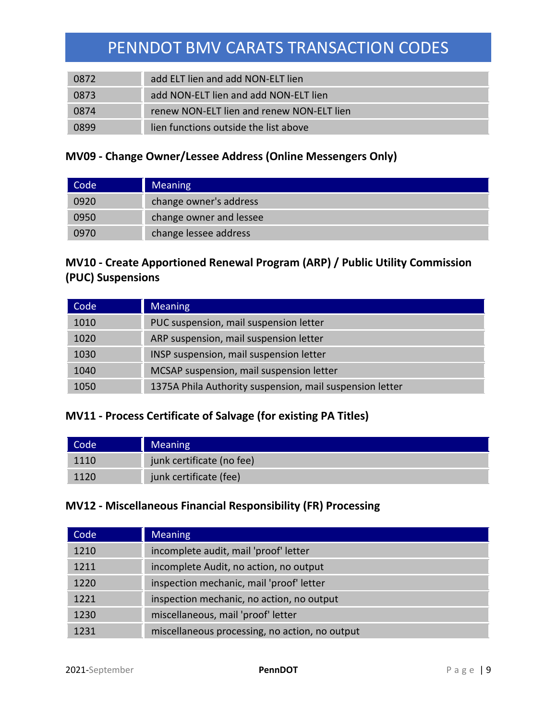| 0872 | add ELT lien and add NON-ELT lien         |
|------|-------------------------------------------|
| 0873 | add NON-ELT lien and add NON-ELT lien     |
| 0874 | renew NON-ELT lien and renew NON-ELT lien |
| 0899 | lien functions outside the list above     |

## **MV09 - Change Owner/Lessee Address (Online Messengers Only)**

| Code' | <b>Meaning</b>          |
|-------|-------------------------|
| 0920  | change owner's address  |
| 0950  | change owner and lessee |
| 0970  | change lessee address   |

## **MV10 - Create Apportioned Renewal Program (ARP) / Public Utility Commission (PUC) Suspensions**

| Code | <b>Meaning</b>                                           |
|------|----------------------------------------------------------|
| 1010 | PUC suspension, mail suspension letter                   |
| 1020 | ARP suspension, mail suspension letter                   |
| 1030 | INSP suspension, mail suspension letter                  |
| 1040 | MCSAP suspension, mail suspension letter                 |
| 1050 | 1375A Phila Authority suspension, mail suspension letter |

## **MV11 - Process Certificate of Salvage (for existing PA Titles)**

| Code | <b>Meaning</b>            |
|------|---------------------------|
| 1110 | junk certificate (no fee) |
|      | junk certificate (fee)    |

### **MV12 - Miscellaneous Financial Responsibility (FR) Processing**

| Code | <b>Meaning</b>                                 |
|------|------------------------------------------------|
| 1210 | incomplete audit, mail 'proof' letter          |
| 1211 | incomplete Audit, no action, no output         |
| 1220 | inspection mechanic, mail 'proof' letter       |
| 1221 | inspection mechanic, no action, no output      |
| 1230 | miscellaneous, mail 'proof' letter             |
| 1231 | miscellaneous processing, no action, no output |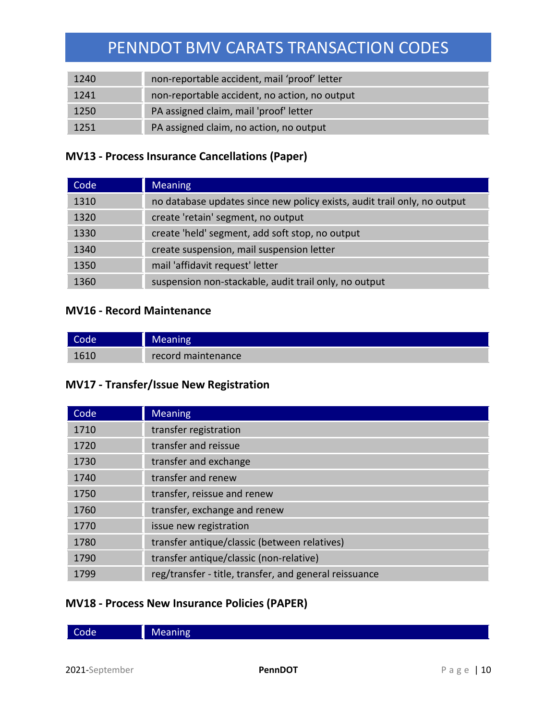| 1240 | non-reportable accident, mail 'proof' letter  |
|------|-----------------------------------------------|
| 1241 | non-reportable accident, no action, no output |
| 1250 | PA assigned claim, mail 'proof' letter        |
| 1251 | PA assigned claim, no action, no output       |

## **MV13 - Process Insurance Cancellations (Paper)**

| Code | <b>Meaning</b>                                                           |
|------|--------------------------------------------------------------------------|
| 1310 | no database updates since new policy exists, audit trail only, no output |
| 1320 | create 'retain' segment, no output                                       |
| 1330 | create 'held' segment, add soft stop, no output                          |
| 1340 | create suspension, mail suspension letter                                |
| 1350 | mail 'affidavit request' letter                                          |
| 1360 | suspension non-stackable, audit trail only, no output                    |

#### **MV16 - Record Maintenance**

| Code, | Meaning            |
|-------|--------------------|
| 1610  | record maintenance |

## **MV17 - Transfer/Issue New Registration**

| Code | <b>Meaning</b>                                         |
|------|--------------------------------------------------------|
| 1710 | transfer registration                                  |
| 1720 | transfer and reissue                                   |
| 1730 | transfer and exchange                                  |
| 1740 | transfer and renew                                     |
| 1750 | transfer, reissue and renew                            |
| 1760 | transfer, exchange and renew                           |
| 1770 | issue new registration                                 |
| 1780 | transfer antique/classic (between relatives)           |
| 1790 | transfer antique/classic (non-relative)                |
| 1799 | reg/transfer - title, transfer, and general reissuance |

## **MV18 - Process New Insurance Policies (PAPER)**

| .<br>. | ∽<br>Code j | eaning |
|--------|-------------|--------|
|--------|-------------|--------|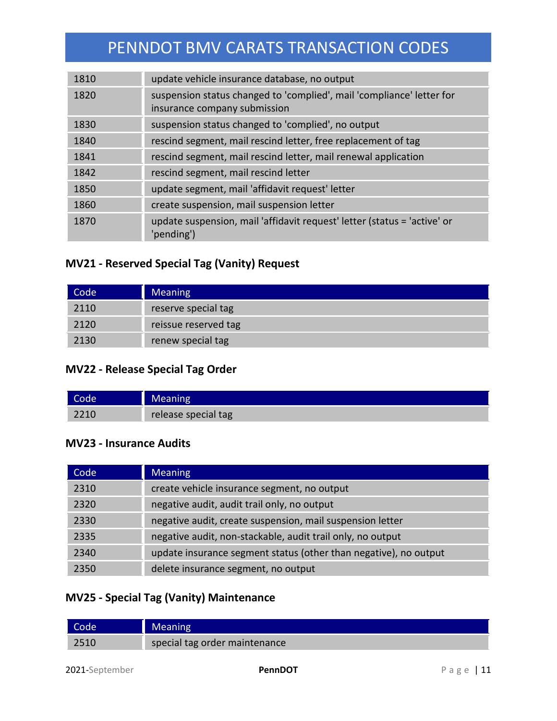| 1810 | update vehicle insurance database, no output                                                          |
|------|-------------------------------------------------------------------------------------------------------|
| 1820 | suspension status changed to 'complied', mail 'compliance' letter for<br>insurance company submission |
| 1830 | suspension status changed to 'complied', no output                                                    |
| 1840 | rescind segment, mail rescind letter, free replacement of tag                                         |
| 1841 | rescind segment, mail rescind letter, mail renewal application                                        |
| 1842 | rescind segment, mail rescind letter                                                                  |
| 1850 | update segment, mail 'affidavit request' letter                                                       |
| 1860 | create suspension, mail suspension letter                                                             |
| 1870 | update suspension, mail 'affidavit request' letter (status = 'active' or<br>'pending')                |

## **MV21 - Reserved Special Tag (Vanity) Request**

| Code <sup>1</sup> | <b>Meaning</b>       |
|-------------------|----------------------|
| 2110              | reserve special tag  |
| 2120              | reissue reserved tag |
| 2130              | renew special tag    |

## **MV22 - Release Special Tag Order**

| Code, | Meaning             |
|-------|---------------------|
| 2210  | release special tag |

#### **MV23 - Insurance Audits**

| Code | <b>Meaning</b>                                                   |
|------|------------------------------------------------------------------|
| 2310 | create vehicle insurance segment, no output                      |
| 2320 | negative audit, audit trail only, no output                      |
| 2330 | negative audit, create suspension, mail suspension letter        |
| 2335 | negative audit, non-stackable, audit trail only, no output       |
| 2340 | update insurance segment status (other than negative), no output |
| 2350 | delete insurance segment, no output                              |

## **MV25 - Special Tag (Vanity) Maintenance**

| Code | <b>Meaning</b>                |
|------|-------------------------------|
| 2510 | special tag order maintenance |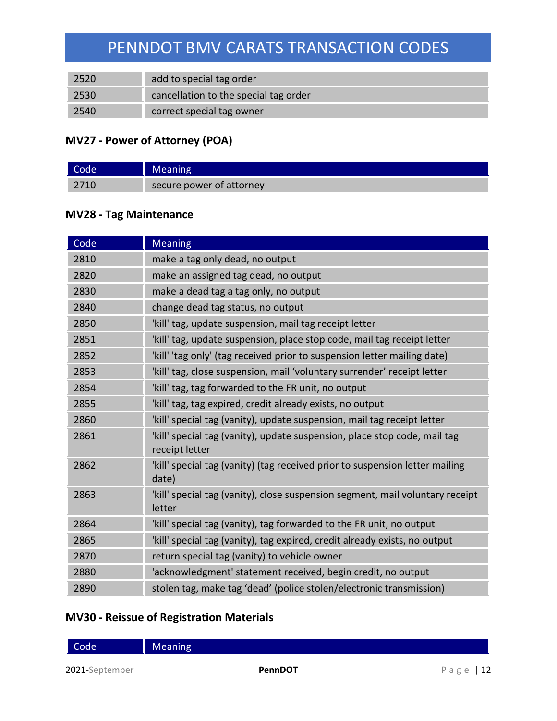| 2520 | add to special tag order              |
|------|---------------------------------------|
| 2530 | cancellation to the special tag order |
| 2540 | correct special tag owner             |

## **MV27 - Power of Attorney (POA)**

| Code | <b>Meaning</b>           |
|------|--------------------------|
| 2710 | secure power of attorney |

### **MV28 - Tag Maintenance**

| Code | <b>Meaning</b>                                                                              |
|------|---------------------------------------------------------------------------------------------|
| 2810 | make a tag only dead, no output                                                             |
| 2820 | make an assigned tag dead, no output                                                        |
| 2830 | make a dead tag a tag only, no output                                                       |
| 2840 | change dead tag status, no output                                                           |
| 2850 | 'kill' tag, update suspension, mail tag receipt letter                                      |
| 2851 | 'kill' tag, update suspension, place stop code, mail tag receipt letter                     |
| 2852 | 'kill' 'tag only' (tag received prior to suspension letter mailing date)                    |
| 2853 | 'kill' tag, close suspension, mail 'voluntary surrender' receipt letter                     |
| 2854 | 'kill' tag, tag forwarded to the FR unit, no output                                         |
| 2855 | 'kill' tag, tag expired, credit already exists, no output                                   |
| 2860 | 'kill' special tag (vanity), update suspension, mail tag receipt letter                     |
| 2861 | 'kill' special tag (vanity), update suspension, place stop code, mail tag<br>receipt letter |
| 2862 | 'kill' special tag (vanity) (tag received prior to suspension letter mailing<br>date)       |
| 2863 | 'kill' special tag (vanity), close suspension segment, mail voluntary receipt<br>letter     |
| 2864 | 'kill' special tag (vanity), tag forwarded to the FR unit, no output                        |
| 2865 | 'kill' special tag (vanity), tag expired, credit already exists, no output                  |
| 2870 | return special tag (vanity) to vehicle owner                                                |
| 2880 | 'acknowledgment' statement received, begin credit, no output                                |
| 2890 | stolen tag, make tag 'dead' (police stolen/electronic transmission)                         |

## **MV30 - Reissue of Registration Materials**

Code Meaning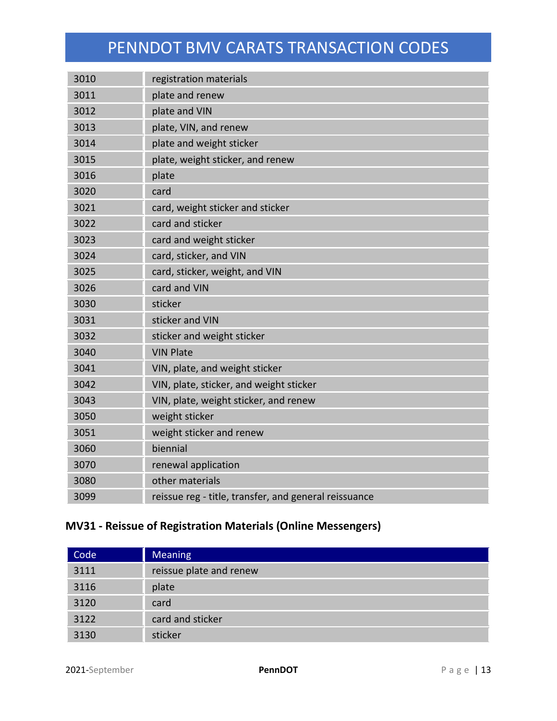| 3010 | registration materials                                |  |  |  |
|------|-------------------------------------------------------|--|--|--|
| 3011 | plate and renew                                       |  |  |  |
| 3012 | plate and VIN                                         |  |  |  |
| 3013 | plate, VIN, and renew                                 |  |  |  |
| 3014 | plate and weight sticker                              |  |  |  |
| 3015 | plate, weight sticker, and renew                      |  |  |  |
| 3016 | plate                                                 |  |  |  |
| 3020 | card                                                  |  |  |  |
| 3021 | card, weight sticker and sticker                      |  |  |  |
| 3022 | card and sticker                                      |  |  |  |
| 3023 | card and weight sticker                               |  |  |  |
| 3024 | card, sticker, and VIN                                |  |  |  |
| 3025 | card, sticker, weight, and VIN                        |  |  |  |
| 3026 | card and VIN                                          |  |  |  |
| 3030 | sticker                                               |  |  |  |
| 3031 | sticker and VIN                                       |  |  |  |
| 3032 | sticker and weight sticker                            |  |  |  |
| 3040 | <b>VIN Plate</b>                                      |  |  |  |
| 3041 | VIN, plate, and weight sticker                        |  |  |  |
| 3042 | VIN, plate, sticker, and weight sticker               |  |  |  |
| 3043 | VIN, plate, weight sticker, and renew                 |  |  |  |
| 3050 | weight sticker                                        |  |  |  |
| 3051 | weight sticker and renew                              |  |  |  |
| 3060 | biennial                                              |  |  |  |
| 3070 | renewal application                                   |  |  |  |
| 3080 | other materials                                       |  |  |  |
| 3099 | reissue reg - title, transfer, and general reissuance |  |  |  |

## **MV31 - Reissue of Registration Materials (Online Messengers)**

| Code | <b>Meaning</b>          |
|------|-------------------------|
| 3111 | reissue plate and renew |
| 3116 | plate                   |
| 3120 | card                    |
| 3122 | card and sticker        |
| 3130 | sticker                 |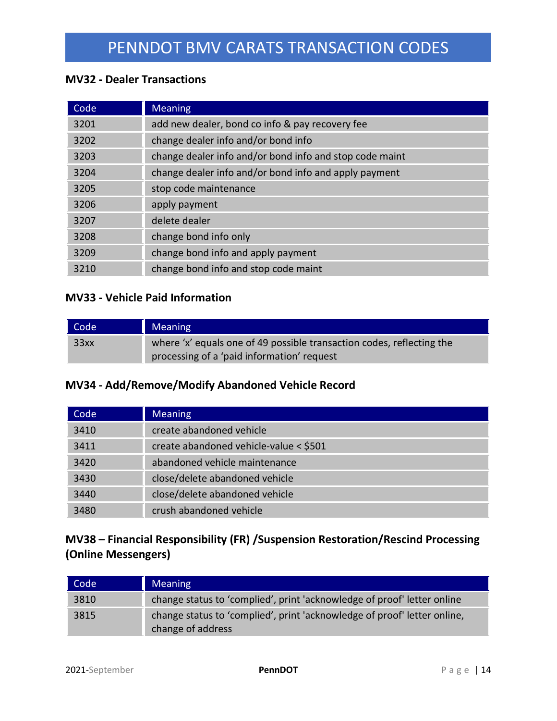#### **MV32 - Dealer Transactions**

| Code | <b>Meaning</b>                                          |
|------|---------------------------------------------------------|
| 3201 | add new dealer, bond co info & pay recovery fee         |
| 3202 | change dealer info and/or bond info                     |
| 3203 | change dealer info and/or bond info and stop code maint |
| 3204 | change dealer info and/or bond info and apply payment   |
| 3205 | stop code maintenance                                   |
| 3206 | apply payment                                           |
| 3207 | delete dealer                                           |
| 3208 | change bond info only                                   |
| 3209 | change bond info and apply payment                      |
| 3210 | change bond info and stop code maint                    |

### **MV33 - Vehicle Paid Information**

| Code | <b>Meaning</b>                                                                                                      |
|------|---------------------------------------------------------------------------------------------------------------------|
| 33xx | where 'x' equals one of 49 possible transaction codes, reflecting the<br>processing of a 'paid information' request |

#### **MV34 - Add/Remove/Modify Abandoned Vehicle Record**

| Code | <b>Meaning</b>                         |
|------|----------------------------------------|
| 3410 | create abandoned vehicle               |
| 3411 | create abandoned vehicle-value < \$501 |
| 3420 | abandoned vehicle maintenance          |
| 3430 | close/delete abandoned vehicle         |
| 3440 | close/delete abandoned vehicle         |
| 3480 | crush abandoned vehicle                |

# **MV38 – Financial Responsibility (FR) /Suspension Restoration/Rescind Processing (Online Messengers)**

| Code | <b>Meaning</b>                                                                                |
|------|-----------------------------------------------------------------------------------------------|
| 3810 | change status to 'complied', print 'acknowledge of proof' letter online                       |
| 3815 | change status to 'complied', print 'acknowledge of proof' letter online,<br>change of address |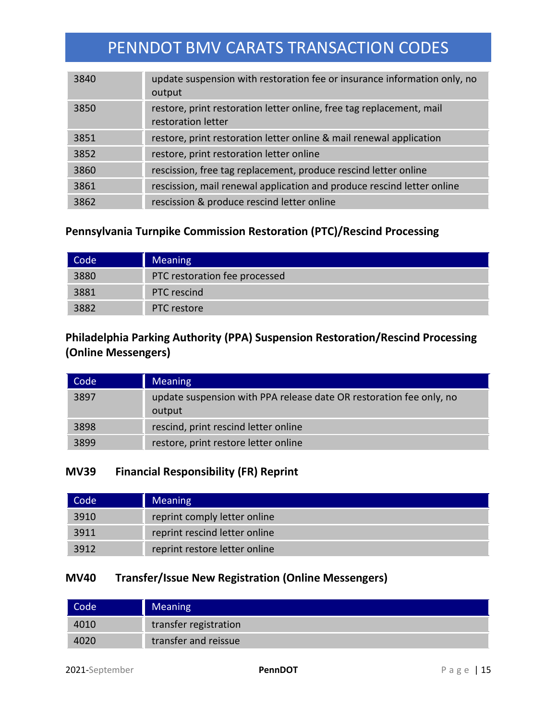| 3840 | update suspension with restoration fee or insurance information only, no<br>output         |
|------|--------------------------------------------------------------------------------------------|
| 3850 | restore, print restoration letter online, free tag replacement, mail<br>restoration letter |
| 3851 | restore, print restoration letter online & mail renewal application                        |
| 3852 | restore, print restoration letter online                                                   |
| 3860 | rescission, free tag replacement, produce rescind letter online                            |
| 3861 | rescission, mail renewal application and produce rescind letter online                     |
| 3862 | rescission & produce rescind letter online                                                 |

## **Pennsylvania Turnpike Commission Restoration (PTC)/Rescind Processing**

| Code | <b>Meaning</b>                |
|------|-------------------------------|
| 3880 | PTC restoration fee processed |
| 3881 | <b>PTC</b> rescind            |
| 3882 | PTC restore                   |

## **Philadelphia Parking Authority (PPA) Suspension Restoration/Rescind Processing (Online Messengers)**

| Code | <b>Meaning</b>                                                                |
|------|-------------------------------------------------------------------------------|
| 3897 | update suspension with PPA release date OR restoration fee only, no<br>output |
| 3898 | rescind, print rescind letter online                                          |
| 3899 | restore, print restore letter online                                          |

### **MV39 Financial Responsibility (FR) Reprint**

| Code <sup>1</sup> | <b>Meaning</b>                |
|-------------------|-------------------------------|
| 3910              | reprint comply letter online  |
| 3911              | reprint rescind letter online |
| 3912              | reprint restore letter online |

### **MV40 Transfer/Issue New Registration (Online Messengers)**

| Code <sup>1</sup> | <b>Meaning</b>        |
|-------------------|-----------------------|
| 4010              | transfer registration |
|                   | transfer and reissue  |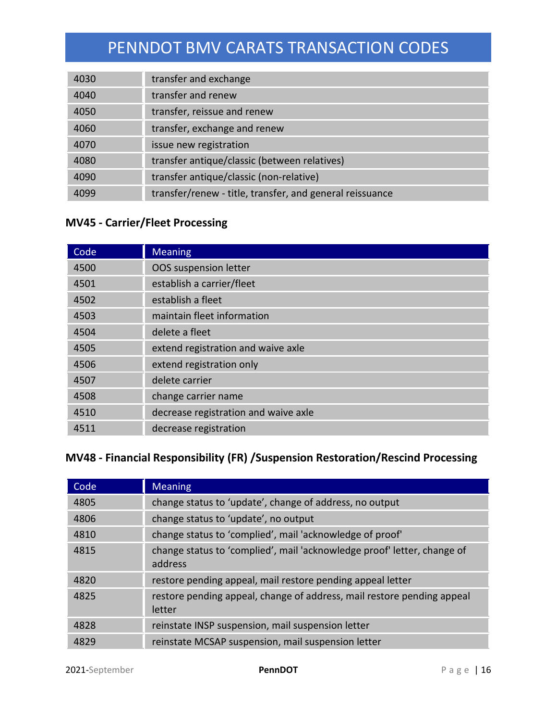| 4030 | transfer and exchange                                    |
|------|----------------------------------------------------------|
| 4040 | transfer and renew                                       |
| 4050 | transfer, reissue and renew                              |
| 4060 | transfer, exchange and renew                             |
| 4070 | issue new registration                                   |
| 4080 | transfer antique/classic (between relatives)             |
| 4090 | transfer antique/classic (non-relative)                  |
| 4099 | transfer/renew - title, transfer, and general reissuance |

## **MV45 - Carrier/Fleet Processing**

| Code | <b>Meaning</b>                       |
|------|--------------------------------------|
| 4500 | OOS suspension letter                |
| 4501 | establish a carrier/fleet            |
| 4502 | establish a fleet                    |
| 4503 | maintain fleet information           |
| 4504 | delete a fleet                       |
| 4505 | extend registration and waive axle   |
| 4506 | extend registration only             |
| 4507 | delete carrier                       |
| 4508 | change carrier name                  |
| 4510 | decrease registration and waive axle |
| 4511 | decrease registration                |

## **MV48 - Financial Responsibility (FR) /Suspension Restoration/Rescind Processing**

| Code | <b>Meaning</b>                                                                     |
|------|------------------------------------------------------------------------------------|
| 4805 | change status to 'update', change of address, no output                            |
| 4806 | change status to 'update', no output                                               |
| 4810 | change status to 'complied', mail 'acknowledge of proof'                           |
| 4815 | change status to 'complied', mail 'acknowledge proof' letter, change of<br>address |
| 4820 | restore pending appeal, mail restore pending appeal letter                         |
| 4825 | restore pending appeal, change of address, mail restore pending appeal<br>letter   |
| 4828 | reinstate INSP suspension, mail suspension letter                                  |
| 4829 | reinstate MCSAP suspension, mail suspension letter                                 |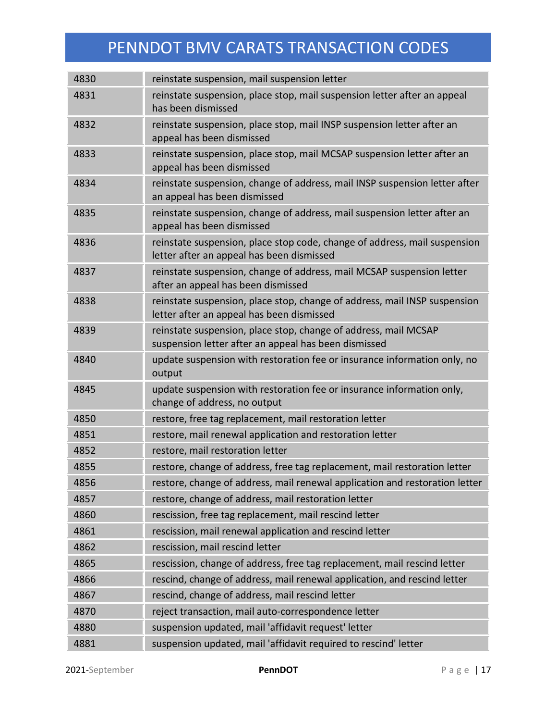| 4830 | reinstate suspension, mail suspension letter                                                                            |
|------|-------------------------------------------------------------------------------------------------------------------------|
| 4831 | reinstate suspension, place stop, mail suspension letter after an appeal<br>has been dismissed                          |
| 4832 | reinstate suspension, place stop, mail INSP suspension letter after an<br>appeal has been dismissed                     |
| 4833 | reinstate suspension, place stop, mail MCSAP suspension letter after an<br>appeal has been dismissed                    |
| 4834 | reinstate suspension, change of address, mail INSP suspension letter after<br>an appeal has been dismissed              |
| 4835 | reinstate suspension, change of address, mail suspension letter after an<br>appeal has been dismissed                   |
| 4836 | reinstate suspension, place stop code, change of address, mail suspension<br>letter after an appeal has been dismissed  |
| 4837 | reinstate suspension, change of address, mail MCSAP suspension letter<br>after an appeal has been dismissed             |
| 4838 | reinstate suspension, place stop, change of address, mail INSP suspension<br>letter after an appeal has been dismissed  |
| 4839 | reinstate suspension, place stop, change of address, mail MCSAP<br>suspension letter after an appeal has been dismissed |
| 4840 | update suspension with restoration fee or insurance information only, no<br>output                                      |
| 4845 | update suspension with restoration fee or insurance information only,<br>change of address, no output                   |
| 4850 | restore, free tag replacement, mail restoration letter                                                                  |
| 4851 | restore, mail renewal application and restoration letter                                                                |
| 4852 | restore, mail restoration letter                                                                                        |
| 4855 | restore, change of address, free tag replacement, mail restoration letter                                               |
| 4856 | restore, change of address, mail renewal application and restoration letter                                             |
| 4857 | restore, change of address, mail restoration letter                                                                     |
| 4860 | rescission, free tag replacement, mail rescind letter                                                                   |
| 4861 | rescission, mail renewal application and rescind letter                                                                 |
| 4862 | rescission, mail rescind letter                                                                                         |
| 4865 | rescission, change of address, free tag replacement, mail rescind letter                                                |
| 4866 | rescind, change of address, mail renewal application, and rescind letter                                                |
| 4867 | rescind, change of address, mail rescind letter                                                                         |
| 4870 | reject transaction, mail auto-correspondence letter                                                                     |
| 4880 | suspension updated, mail 'affidavit request' letter                                                                     |
| 4881 | suspension updated, mail 'affidavit required to rescind' letter                                                         |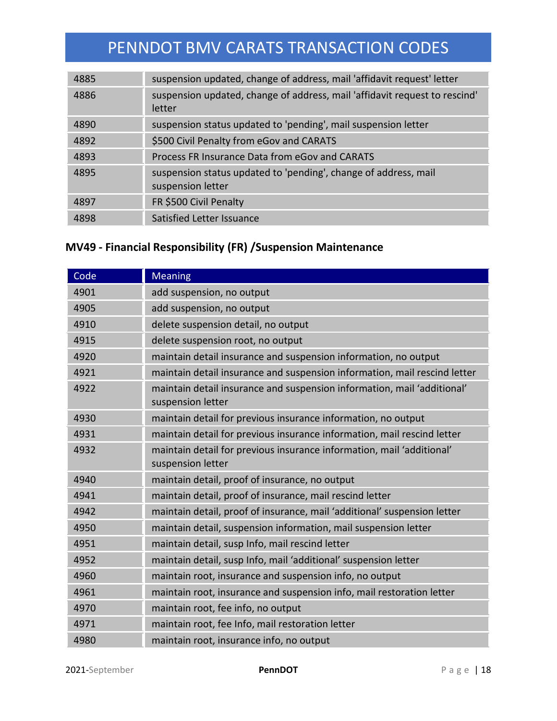| 4885 | suspension updated, change of address, mail 'affidavit request' letter               |
|------|--------------------------------------------------------------------------------------|
| 4886 | suspension updated, change of address, mail 'affidavit request to rescind'<br>letter |
| 4890 | suspension status updated to 'pending', mail suspension letter                       |
| 4892 | \$500 Civil Penalty from eGov and CARATS                                             |
| 4893 | Process FR Insurance Data from eGov and CARATS                                       |
| 4895 | suspension status updated to 'pending', change of address, mail<br>suspension letter |
| 4897 | FR \$500 Civil Penalty                                                               |
| 4898 | Satisfied Letter Issuance                                                            |

## **MV49 - Financial Responsibility (FR) /Suspension Maintenance**

| Code | <b>Meaning</b>                                                                               |
|------|----------------------------------------------------------------------------------------------|
| 4901 | add suspension, no output                                                                    |
| 4905 | add suspension, no output                                                                    |
| 4910 | delete suspension detail, no output                                                          |
| 4915 | delete suspension root, no output                                                            |
| 4920 | maintain detail insurance and suspension information, no output                              |
| 4921 | maintain detail insurance and suspension information, mail rescind letter                    |
| 4922 | maintain detail insurance and suspension information, mail 'additional'<br>suspension letter |
| 4930 | maintain detail for previous insurance information, no output                                |
| 4931 | maintain detail for previous insurance information, mail rescind letter                      |
| 4932 | maintain detail for previous insurance information, mail 'additional'<br>suspension letter   |
| 4940 | maintain detail, proof of insurance, no output                                               |
| 4941 | maintain detail, proof of insurance, mail rescind letter                                     |
| 4942 | maintain detail, proof of insurance, mail 'additional' suspension letter                     |
| 4950 | maintain detail, suspension information, mail suspension letter                              |
| 4951 | maintain detail, susp Info, mail rescind letter                                              |
| 4952 | maintain detail, susp Info, mail 'additional' suspension letter                              |
| 4960 | maintain root, insurance and suspension info, no output                                      |
| 4961 | maintain root, insurance and suspension info, mail restoration letter                        |
| 4970 | maintain root, fee info, no output                                                           |
| 4971 | maintain root, fee Info, mail restoration letter                                             |
| 4980 | maintain root, insurance info, no output                                                     |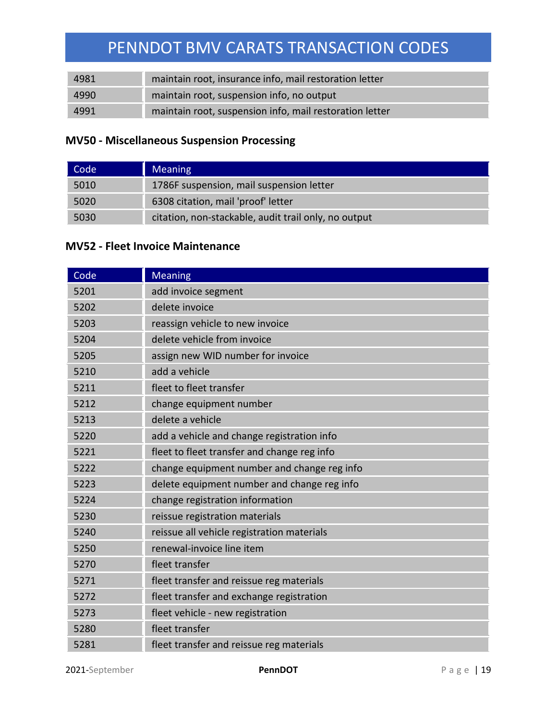| 4981 | maintain root, insurance info, mail restoration letter  |
|------|---------------------------------------------------------|
| 4990 | maintain root, suspension info, no output               |
| 4991 | maintain root, suspension info, mail restoration letter |

## **MV50 - Miscellaneous Suspension Processing**

| Code | <b>Meaning</b>                                       |
|------|------------------------------------------------------|
| 5010 | 1786F suspension, mail suspension letter             |
| 5020 | 6308 citation, mail 'proof' letter                   |
| 5030 | citation, non-stackable, audit trail only, no output |

#### **MV52 - Fleet Invoice Maintenance**

| Code | <b>Meaning</b>                              |
|------|---------------------------------------------|
| 5201 | add invoice segment                         |
| 5202 | delete invoice                              |
| 5203 | reassign vehicle to new invoice             |
| 5204 | delete vehicle from invoice                 |
| 5205 | assign new WID number for invoice           |
| 5210 | add a vehicle                               |
| 5211 | fleet to fleet transfer                     |
| 5212 | change equipment number                     |
| 5213 | delete a vehicle                            |
| 5220 | add a vehicle and change registration info  |
| 5221 | fleet to fleet transfer and change reg info |
| 5222 | change equipment number and change reg info |
| 5223 | delete equipment number and change reg info |
| 5224 | change registration information             |
| 5230 | reissue registration materials              |
| 5240 | reissue all vehicle registration materials  |
| 5250 | renewal-invoice line item                   |
| 5270 | fleet transfer                              |
| 5271 | fleet transfer and reissue reg materials    |
| 5272 | fleet transfer and exchange registration    |
| 5273 | fleet vehicle - new registration            |
| 5280 | fleet transfer                              |
| 5281 | fleet transfer and reissue reg materials    |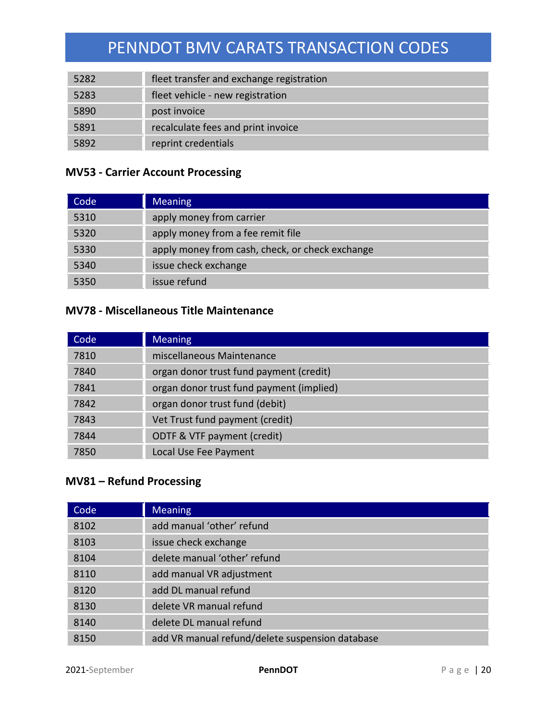| 5282 | fleet transfer and exchange registration |
|------|------------------------------------------|
| 5283 | fleet vehicle - new registration         |
| 5890 | post invoice                             |
| 5891 | recalculate fees and print invoice       |
| 5892 | reprint credentials                      |

### **MV53 - Carrier Account Processing**

| Code | <b>Meaning</b>                                  |
|------|-------------------------------------------------|
| 5310 | apply money from carrier                        |
| 5320 | apply money from a fee remit file               |
| 5330 | apply money from cash, check, or check exchange |
| 5340 | issue check exchange                            |
| 5350 | issue refund                                    |

## **MV78 - Miscellaneous Title Maintenance**

| Code | <b>Meaning</b>                           |
|------|------------------------------------------|
| 7810 | miscellaneous Maintenance                |
| 7840 | organ donor trust fund payment (credit)  |
| 7841 | organ donor trust fund payment (implied) |
| 7842 | organ donor trust fund (debit)           |
| 7843 | Vet Trust fund payment (credit)          |
| 7844 | ODTF & VTF payment (credit)              |
| 7850 | Local Use Fee Payment                    |

### **MV81 – Refund Processing**

| Code | <b>Meaning</b>                                  |
|------|-------------------------------------------------|
| 8102 | add manual 'other' refund                       |
| 8103 | issue check exchange                            |
| 8104 | delete manual 'other' refund                    |
| 8110 | add manual VR adjustment                        |
| 8120 | add DL manual refund                            |
| 8130 | delete VR manual refund                         |
| 8140 | delete DL manual refund                         |
| 8150 | add VR manual refund/delete suspension database |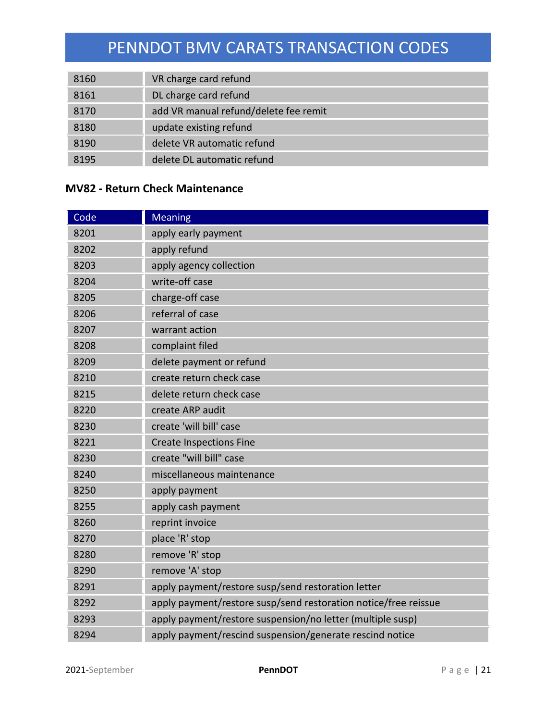| 8160 | VR charge card refund                 |
|------|---------------------------------------|
| 8161 | DL charge card refund                 |
| 8170 | add VR manual refund/delete fee remit |
| 8180 | update existing refund                |
| 8190 | delete VR automatic refund            |
| 8195 | delete DL automatic refund            |

## **MV82 - Return Check Maintenance**

| Code | <b>Meaning</b>                                                  |
|------|-----------------------------------------------------------------|
| 8201 | apply early payment                                             |
| 8202 | apply refund                                                    |
| 8203 | apply agency collection                                         |
| 8204 | write-off case                                                  |
| 8205 | charge-off case                                                 |
| 8206 | referral of case                                                |
| 8207 | warrant action                                                  |
| 8208 | complaint filed                                                 |
| 8209 | delete payment or refund                                        |
| 8210 | create return check case                                        |
| 8215 | delete return check case                                        |
| 8220 | create ARP audit                                                |
| 8230 | create 'will bill' case                                         |
| 8221 | <b>Create Inspections Fine</b>                                  |
| 8230 | create "will bill" case                                         |
| 8240 | miscellaneous maintenance                                       |
| 8250 | apply payment                                                   |
| 8255 | apply cash payment                                              |
| 8260 | reprint invoice                                                 |
| 8270 | place 'R' stop                                                  |
| 8280 | remove 'R' stop                                                 |
| 8290 | remove 'A' stop                                                 |
| 8291 | apply payment/restore susp/send restoration letter              |
| 8292 | apply payment/restore susp/send restoration notice/free reissue |
| 8293 | apply payment/restore suspension/no letter (multiple susp)      |
| 8294 | apply payment/rescind suspension/generate rescind notice        |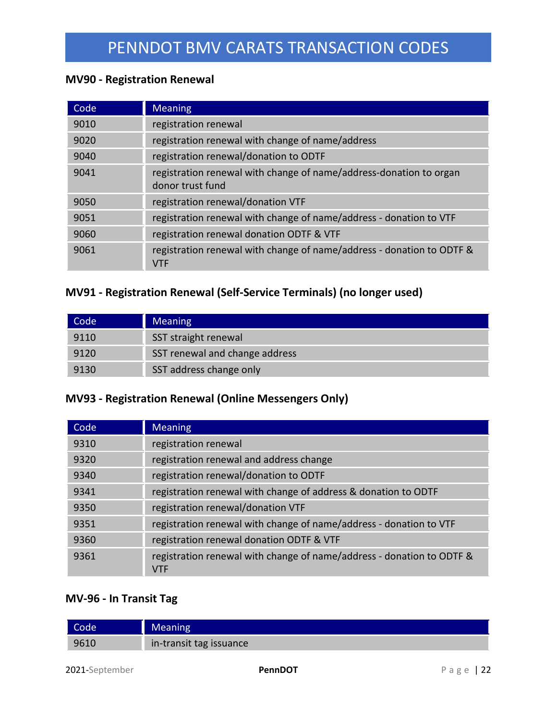## **MV90 - Registration Renewal**

| Code | <b>Meaning</b>                                                                         |
|------|----------------------------------------------------------------------------------------|
| 9010 | registration renewal                                                                   |
| 9020 | registration renewal with change of name/address                                       |
| 9040 | registration renewal/donation to ODTF                                                  |
| 9041 | registration renewal with change of name/address-donation to organ<br>donor trust fund |
| 9050 | registration renewal/donation VTF                                                      |
| 9051 | registration renewal with change of name/address - donation to VTF                     |
| 9060 | registration renewal donation ODTF & VTF                                               |
| 9061 | registration renewal with change of name/address - donation to ODTF &<br><b>VTF</b>    |

## **MV91 - Registration Renewal (Self-Service Terminals) (no longer used)**

| Code | <b>Meaning</b>                 |
|------|--------------------------------|
| 9110 | SST straight renewal           |
| 9120 | SST renewal and change address |
| 9130 | SST address change only        |

## **MV93 - Registration Renewal (Online Messengers Only)**

| Code | <b>Meaning</b>                                                                      |
|------|-------------------------------------------------------------------------------------|
| 9310 | registration renewal                                                                |
| 9320 | registration renewal and address change                                             |
| 9340 | registration renewal/donation to ODTF                                               |
| 9341 | registration renewal with change of address & donation to ODTF                      |
| 9350 | registration renewal/donation VTF                                                   |
| 9351 | registration renewal with change of name/address - donation to VTF                  |
| 9360 | registration renewal donation ODTF & VTF                                            |
| 9361 | registration renewal with change of name/address - donation to ODTF &<br><b>VTF</b> |

## **MV-96 - In Transit Tag**

| Code | <b>Meaning</b>          |
|------|-------------------------|
| 9610 | in-transit tag issuance |